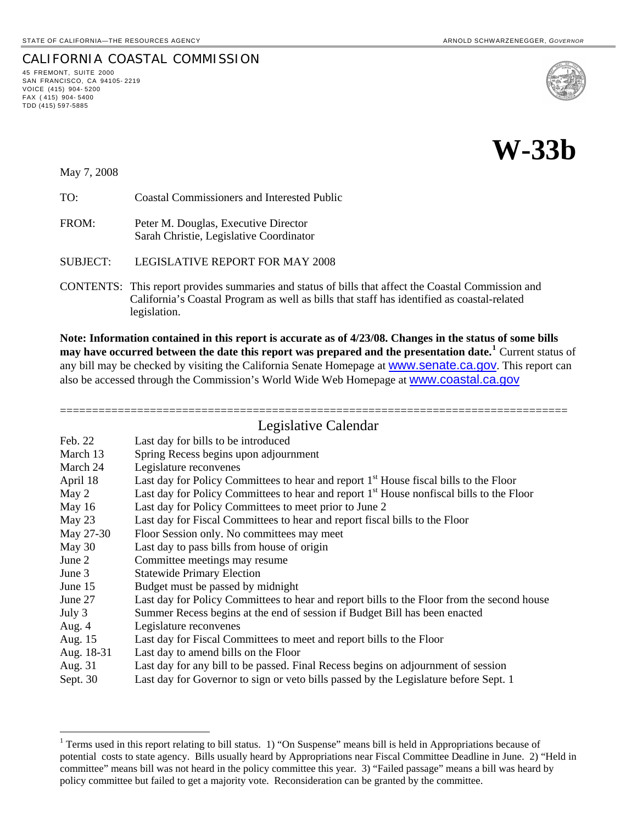# CALIFORNIA COASTAL COMMISSION

45 FREMONT, SUITE 2000 SAN FRANCISCO, CA 94105- 2219 VOICE (415) 904- 5200 FAX ( 415) 904- 5400 TDD (415) 597-5885





May 7, 2008

l

TO: Coastal Commissioners and Interested Public

FROM: Peter M. Douglas, Executive Director Sarah Christie, Legislative Coordinator

SUBJECT: LEGISLATIVE REPORT FOR MAY 2008

CONTENTS: This report provides summaries and status of bills that affect the Coastal Commission and California's Coastal Program as well as bills that staff has identified as coastal-related legislation.

**Note: Information contained in this report is accurate as of 4/23/08. Changes in the status of some bills may have occurred between the date this report was prepared and the presentation date.[1](#page-0-0)** Current status of any bill may be checked by visiting the California Senate Homepage at **WWW.Senate.ca.gov**. This report can also be accessed through the Commission's World Wide Web Homepage at [www.coastal.ca.gov](http://www.coastal.ca.gov/)

## =============================================================================== Legislative Calendar

|            | Les Shah , e Calendar                                                                                |
|------------|------------------------------------------------------------------------------------------------------|
| Feb. 22    | Last day for bills to be introduced                                                                  |
| March 13   | Spring Recess begins upon adjournment                                                                |
| March 24   | Legislature reconvenes                                                                               |
| April 18   | Last day for Policy Committees to hear and report 1 <sup>st</sup> House fiscal bills to the Floor    |
| May 2      | Last day for Policy Committees to hear and report 1 <sup>st</sup> House nonfiscal bills to the Floor |
| May $16$   | Last day for Policy Committees to meet prior to June 2                                               |
| May 23     | Last day for Fiscal Committees to hear and report fiscal bills to the Floor                          |
| May 27-30  | Floor Session only. No committees may meet                                                           |
| May 30     | Last day to pass bills from house of origin                                                          |
| June 2     | Committee meetings may resume                                                                        |
| June 3     | <b>Statewide Primary Election</b>                                                                    |
| June 15    | Budget must be passed by midnight                                                                    |
| June 27    | Last day for Policy Committees to hear and report bills to the Floor from the second house           |
| July 3     | Summer Recess begins at the end of session if Budget Bill has been enacted                           |
| Aug. $4$   | Legislature reconvenes                                                                               |
| Aug. 15    | Last day for Fiscal Committees to meet and report bills to the Floor                                 |
| Aug. 18-31 | Last day to amend bills on the Floor                                                                 |
| Aug. 31    | Last day for any bill to be passed. Final Recess begins on adjournment of session                    |
| Sept. 30   | Last day for Governor to sign or veto bills passed by the Legislature before Sept. 1                 |

<span id="page-0-0"></span><sup>&</sup>lt;sup>1</sup> Terms used in this report relating to bill status. 1) "On Suspense" means bill is held in Appropriations because of potential costs to state agency. Bills usually heard by Appropriations near Fiscal Committee Deadline in June. 2) "Held in committee" means bill was not heard in the policy committee this year. 3) "Failed passage" means a bill was heard by policy committee but failed to get a majority vote. Reconsideration can be granted by the committee.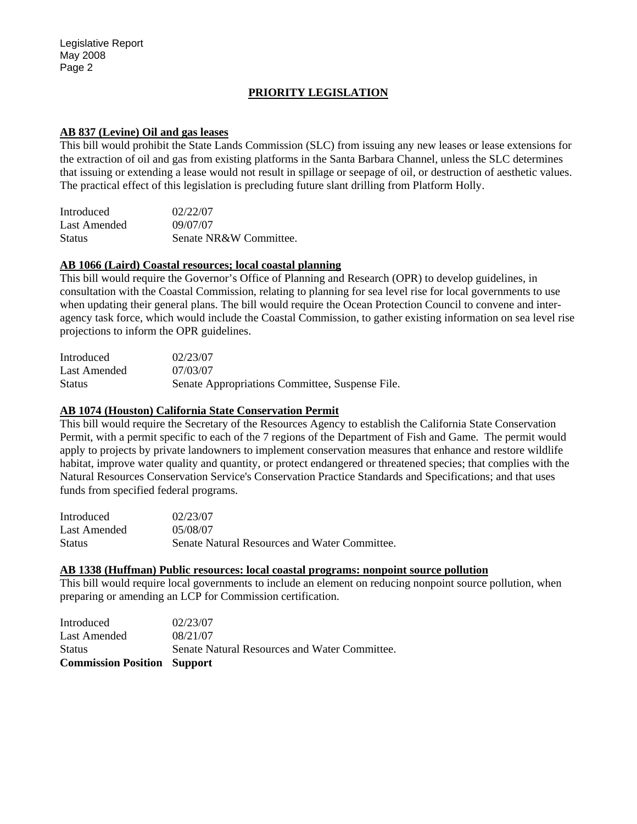# **PRIORITY LEGISLATION**

#### **AB 837 (Levine) Oil and gas leases**

This bill would prohibit the State Lands Commission (SLC) from issuing any new leases or lease extensions for the extraction of oil and gas from existing platforms in the Santa Barbara Channel, unless the SLC determines that issuing or extending a lease would not result in spillage or seepage of oil, or destruction of aesthetic values. The practical effect of this legislation is precluding future slant drilling from Platform Holly.

| Introduced    | 02/22/07               |
|---------------|------------------------|
| Last Amended  | 09/07/07               |
| <b>Status</b> | Senate NR&W Committee. |

#### **AB 1066 (Laird) Coastal resources; local coastal planning**

This bill would require the Governor's Office of Planning and Research (OPR) to develop guidelines, in consultation with the Coastal Commission, relating to planning for sea level rise for local governments to use when updating their general plans. The bill would require the Ocean Protection Council to convene and interagency task force, which would include the Coastal Commission, to gather existing information on sea level rise projections to inform the OPR guidelines.

| Introduced    | 02/23/07                                        |
|---------------|-------------------------------------------------|
| Last Amended  | 07/03/07                                        |
| <b>Status</b> | Senate Appropriations Committee, Suspense File. |

#### **AB 1074 (Houston) California State Conservation Permit**

This bill would require the Secretary of the Resources Agency to establish the California State Conservation Permit, with a permit specific to each of the 7 regions of the Department of Fish and Game. The permit would apply to projects by private landowners to implement conservation measures that enhance and restore wildlife habitat, improve water quality and quantity, or protect endangered or threatened species; that complies with the Natural Resources Conservation Service's Conservation Practice Standards and Specifications; and that uses funds from specified federal programs.

| Introduced    | 02/23/07                                      |
|---------------|-----------------------------------------------|
| Last Amended  | 05/08/07                                      |
| <b>Status</b> | Senate Natural Resources and Water Committee. |

#### **AB 1338 (Huffman) Public resources: local coastal programs: nonpoint source pollution**

This bill would require local governments to include an element on reducing nonpoint source pollution, when preparing or amending an LCP for Commission certification.

| <b>Commission Position Support</b> |                                               |
|------------------------------------|-----------------------------------------------|
| <b>Status</b>                      | Senate Natural Resources and Water Committee. |
| Last Amended                       | 08/21/07                                      |
| Introduced                         | 02/23/07                                      |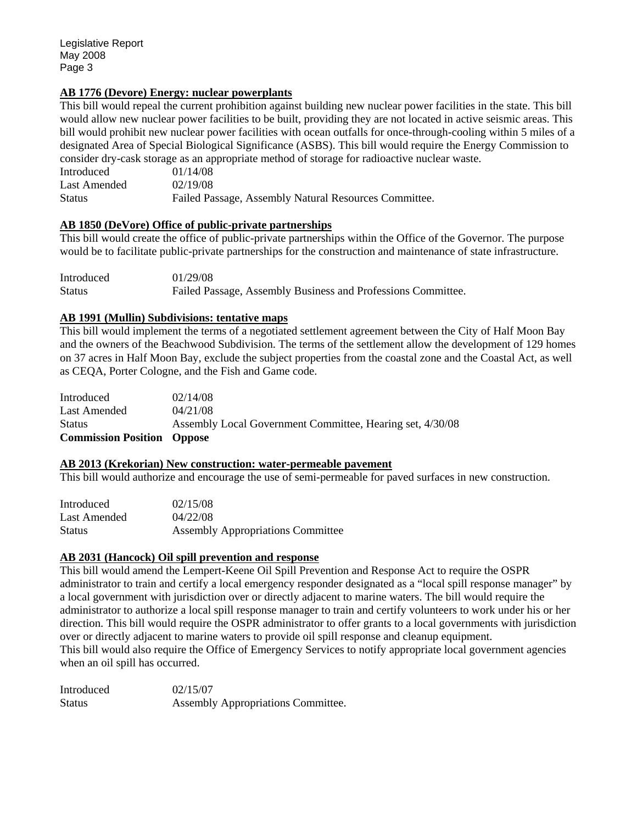# **AB 1776 (Devore) Energy: nuclear powerplants**

This bill would repeal the current prohibition against building new nuclear power facilities in the state. This bill would allow new nuclear power facilities to be built, providing they are not located in active seismic areas. This bill would prohibit new nuclear power facilities with ocean outfalls for once-through-cooling within 5 miles of a designated Area of Special Biological Significance (ASBS). This bill would require the Energy Commission to consider dry-cask storage as an appropriate method of storage for radioactive nuclear waste.

| Introduced    | 01/14/08                                              |
|---------------|-------------------------------------------------------|
| Last Amended  | 02/19/08                                              |
| <b>Status</b> | Failed Passage, Assembly Natural Resources Committee. |

## **AB 1850 (DeVore) Office of public-private partnerships**

This bill would create the office of public-private partnerships within the Office of the Governor. The purpose would be to facilitate public-private partnerships for the construction and maintenance of state infrastructure.

| Introduced    | 01/29/08                                                     |
|---------------|--------------------------------------------------------------|
| <b>Status</b> | Failed Passage, Assembly Business and Professions Committee. |

## **AB 1991 (Mullin) Subdivisions: tentative maps**

This bill would implement the terms of a negotiated settlement agreement between the City of Half Moon Bay and the owners of the Beachwood Subdivision. The terms of the settlement allow the development of 129 homes on 37 acres in Half Moon Bay, exclude the subject properties from the coastal zone and the Coastal Act, as well as CEQA, Porter Cologne, and the Fish and Game code.

| Introduced                        | 02/14/08                                                  |
|-----------------------------------|-----------------------------------------------------------|
| Last Amended                      | 04/21/08                                                  |
| <b>Status</b>                     | Assembly Local Government Committee, Hearing set, 4/30/08 |
| <b>Commission Position Oppose</b> |                                                           |

### **AB 2013 (Krekorian) New construction: water-permeable pavement**

This bill would authorize and encourage the use of semi-permeable for paved surfaces in new construction.

| Introduced    | 02/15/08                                 |
|---------------|------------------------------------------|
| Last Amended  | 04/22/08                                 |
| <b>Status</b> | <b>Assembly Appropriations Committee</b> |

# **AB 2031 (Hancock) Oil spill prevention and response**

This bill would amend the Lempert-Keene Oil Spill Prevention and Response Act to require the OSPR administrator to train and certify a local emergency responder designated as a "local spill response manager" by a local government with jurisdiction over or directly adjacent to marine waters. The bill would require the administrator to authorize a local spill response manager to train and certify volunteers to work under his or her direction. This bill would require the OSPR administrator to offer grants to a local governments with jurisdiction over or directly adjacent to marine waters to provide oil spill response and cleanup equipment. This bill would also require the Office of Emergency Services to notify appropriate local government agencies when an oil spill has occurred.

| Introduced    | 02/15/07                           |
|---------------|------------------------------------|
| <b>Status</b> | Assembly Appropriations Committee. |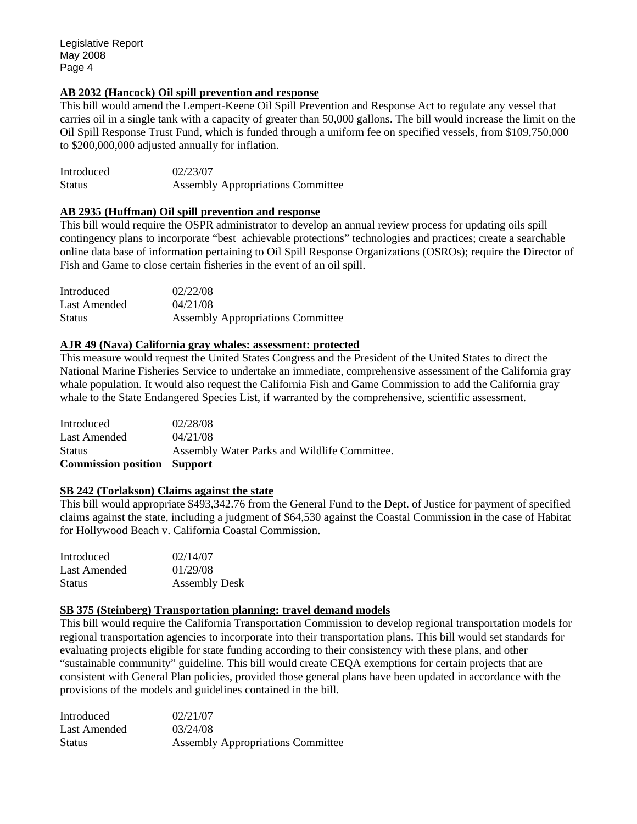# **AB 2032 (Hancock) Oil spill prevention and response**

This bill would amend the Lempert-Keene Oil Spill Prevention and Response Act to regulate any vessel that carries oil in a single tank with a capacity of greater than 50,000 gallons. The bill would increase the limit on the Oil Spill Response Trust Fund, which is funded through a uniform fee on specified vessels, from \$109,750,000 to \$200,000,000 adjusted annually for inflation.

| Introduced | 02/23/07                                 |
|------------|------------------------------------------|
| Status     | <b>Assembly Appropriations Committee</b> |

# **AB 2935 (Huffman) Oil spill prevention and response**

This bill would require the OSPR administrator to develop an annual review process for updating oils spill contingency plans to incorporate "best achievable protections" technologies and practices; create a searchable online data base of information pertaining to Oil Spill Response Organizations (OSROs); require the Director of Fish and Game to close certain fisheries in the event of an oil spill.

| Introduced    | 02/22/08                                 |
|---------------|------------------------------------------|
| Last Amended  | 04/21/08                                 |
| <b>Status</b> | <b>Assembly Appropriations Committee</b> |

## **AJR 49 (Nava) California gray whales: assessment: protected**

This measure would request the United States Congress and the President of the United States to direct the National Marine Fisheries Service to undertake an immediate, comprehensive assessment of the California gray whale population. It would also request the California Fish and Game Commission to add the California gray whale to the State Endangered Species List, if warranted by the comprehensive, scientific assessment.

| <b>Commission position Support</b> |                                              |
|------------------------------------|----------------------------------------------|
| Status                             | Assembly Water Parks and Wildlife Committee. |
| Last Amended                       | 04/21/08                                     |
| Introduced                         | 02/28/08                                     |

### **SB 242 (Torlakson) Claims against the state**

This bill would appropriate \$493,342.76 from the General Fund to the Dept. of Justice for payment of specified claims against the state, including a judgment of \$64,530 against the Coastal Commission in the case of Habitat for Hollywood Beach v. California Coastal Commission.

| Introduced    | 02/14/07             |
|---------------|----------------------|
| Last Amended  | 01/29/08             |
| <b>Status</b> | <b>Assembly Desk</b> |

### **SB 375 (Steinberg) Transportation planning: travel demand models**

This bill would require the California Transportation Commission to develop regional transportation models for regional transportation agencies to incorporate into their transportation plans. This bill would set standards for evaluating projects eligible for state funding according to their consistency with these plans, and other "sustainable community" guideline. This bill would create CEQA exemptions for certain projects that are consistent with General Plan policies, provided those general plans have been updated in accordance with the provisions of the models and guidelines contained in the bill.

| Introduced    | 02/21/07                                 |
|---------------|------------------------------------------|
| Last Amended  | 03/24/08                                 |
| <b>Status</b> | <b>Assembly Appropriations Committee</b> |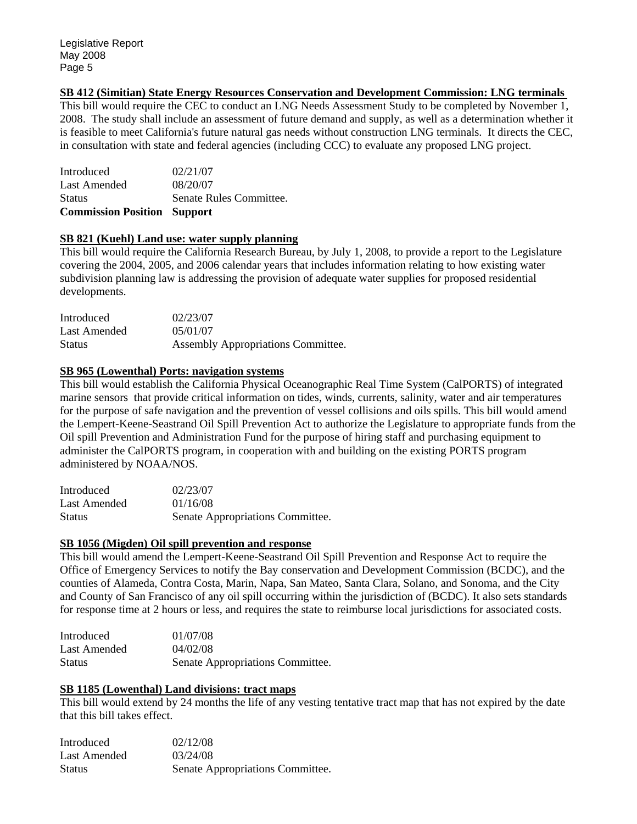## **SB 412 (Simitian) State Energy Resources Conservation and Development Commission: LNG terminals**

This bill would require the CEC to conduct an LNG Needs Assessment Study to be completed by November 1, 2008. The study shall include an assessment of future demand and supply, as well as a determination whether it is feasible to meet California's future natural gas needs without construction LNG terminals. It directs the CEC, in consultation with state and federal agencies (including CCC) to evaluate any proposed LNG project.

| <b>Commission Position Support</b> |
|------------------------------------|
| Senate Rules Committee.            |
| 08/20/07                           |
| 02/21/07                           |
|                                    |

### **SB 821 (Kuehl) Land use: water supply planning**

This bill would require the California Research Bureau, by July 1, 2008, to provide a report to the Legislature covering the 2004, 2005, and 2006 calendar years that includes information relating to how existing water subdivision planning law is addressing the provision of adequate water supplies for proposed residential developments.

| Introduced    | 02/23/07                           |
|---------------|------------------------------------|
| Last Amended  | 05/01/07                           |
| <b>Status</b> | Assembly Appropriations Committee. |

## **SB 965 (Lowenthal) Ports: navigation systems**

This bill would establish the California Physical Oceanographic Real Time System (CalPORTS) of integrated marine sensors that provide critical information on tides, winds, currents, salinity, water and air temperatures for the purpose of safe navigation and the prevention of vessel collisions and oils spills. This bill would amend the Lempert-Keene-Seastrand Oil Spill Prevention Act to authorize the Legislature to appropriate funds from the Oil spill Prevention and Administration Fund for the purpose of hiring staff and purchasing equipment to administer the CalPORTS program, in cooperation with and building on the existing PORTS program administered by NOAA/NOS.

| Introduced    | 02/23/07                         |
|---------------|----------------------------------|
| Last Amended  | 01/16/08                         |
| <b>Status</b> | Senate Appropriations Committee. |

# **SB 1056 (Migden) Oil spill prevention and response**

This bill would amend the Lempert-Keene-Seastrand Oil Spill Prevention and Response Act to require the Office of Emergency Services to notify the Bay conservation and Development Commission (BCDC), and the counties of Alameda, Contra Costa, Marin, Napa, San Mateo, Santa Clara, Solano, and Sonoma, and the City and County of San Francisco of any oil spill occurring within the jurisdiction of (BCDC). It also sets standards for response time at 2 hours or less, and requires the state to reimburse local jurisdictions for associated costs.

| Introduced    | 01/07/08                         |
|---------------|----------------------------------|
| Last Amended  | 04/02/08                         |
| <b>Status</b> | Senate Appropriations Committee. |

# **SB 1185 (Lowenthal) Land divisions: tract maps**

This bill would extend by 24 months the life of any vesting tentative tract map that has not expired by the date that this bill takes effect.

| <b>Introduced</b> | 02/12/08                         |
|-------------------|----------------------------------|
| Last Amended      | 03/24/08                         |
| <b>Status</b>     | Senate Appropriations Committee. |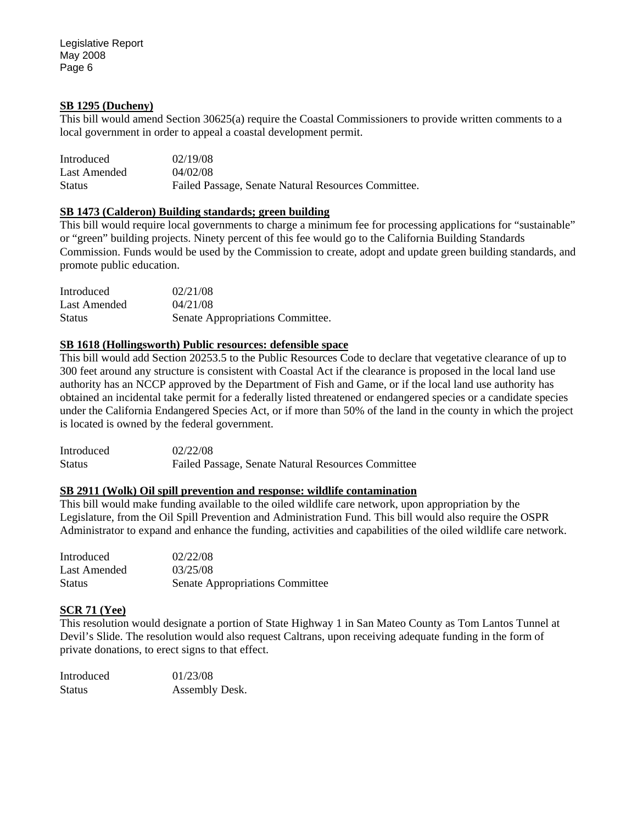Legislative Report May 2008 Page 6

#### **SB 1295 (Ducheny)**

This bill would amend Section 30625(a) require the Coastal Commissioners to provide written comments to a local government in order to appeal a coastal development permit.

| Introduced    | 02/19/08                                            |
|---------------|-----------------------------------------------------|
| Last Amended  | 04/02/08                                            |
| <b>Status</b> | Failed Passage, Senate Natural Resources Committee. |

## **SB 1473 (Calderon) Building standards; green building**

This bill would require local governments to charge a minimum fee for processing applications for "sustainable" or "green" building projects. Ninety percent of this fee would go to the California Building Standards Commission. Funds would be used by the Commission to create, adopt and update green building standards, and promote public education.

| Introduced    | 02/21/08                         |
|---------------|----------------------------------|
| Last Amended  | 04/21/08                         |
| <b>Status</b> | Senate Appropriations Committee. |

### **SB 1618 (Hollingsworth) Public resources: defensible space**

This bill would add Section 20253.5 to the Public Resources Code to declare that vegetative clearance of up to 300 feet around any structure is consistent with Coastal Act if the clearance is proposed in the local land use authority has an NCCP approved by the Department of Fish and Game, or if the local land use authority has obtained an incidental take permit for a federally listed threatened or endangered species or a candidate species under the California Endangered Species Act, or if more than 50% of the land in the county in which the project is located is owned by the federal government.

| Introduced | 02/22/08                                                  |
|------------|-----------------------------------------------------------|
| Status     | <b>Failed Passage, Senate Natural Resources Committee</b> |

#### **SB 2911 (Wolk) Oil spill prevention and response: wildlife contamination**

This bill would make funding available to the oiled wildlife care network, upon appropriation by the Legislature, from the Oil Spill Prevention and Administration Fund. This bill would also require the OSPR Administrator to expand and enhance the funding, activities and capabilities of the oiled wildlife care network.

| Introduced    | 02/22/08                               |
|---------------|----------------------------------------|
| Last Amended  | 03/25/08                               |
| <b>Status</b> | <b>Senate Appropriations Committee</b> |

### **SCR 71 (Yee)**

This resolution would designate a portion of State Highway 1 in San Mateo County as Tom Lantos Tunnel at Devil's Slide. The resolution would also request Caltrans, upon receiving adequate funding in the form of private donations, to erect signs to that effect.

| Introduced | 01/23/08       |
|------------|----------------|
| Status     | Assembly Desk. |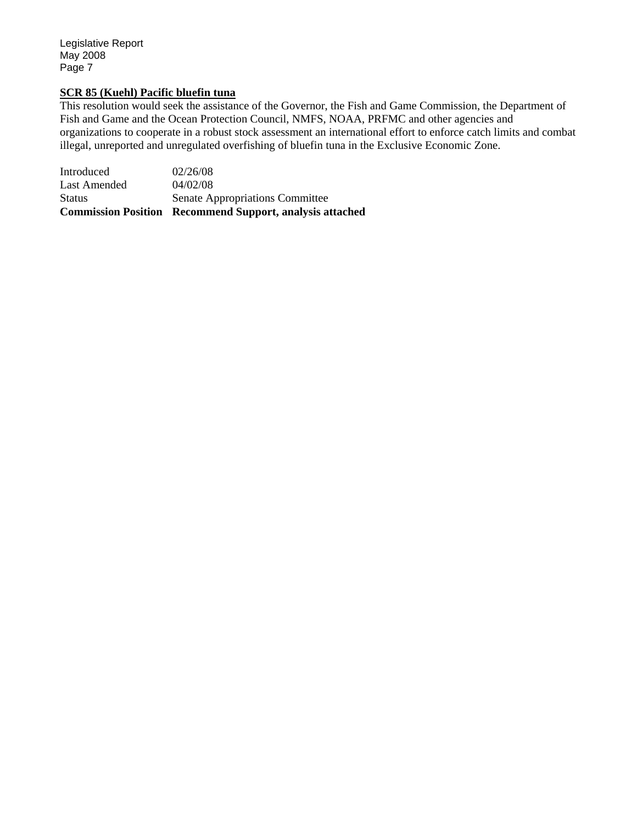Legislative Report May 2008 Page 7

#### **SCR 85 (Kuehl) Pacific bluefin tuna**

This resolution would seek the assistance of the Governor, the Fish and Game Commission, the Department of Fish and Game and the Ocean Protection Council, NMFS, NOAA, PRFMC and other agencies and organizations to cooperate in a robust stock assessment an international effort to enforce catch limits and combat illegal, unreported and unregulated overfishing of bluefin tuna in the Exclusive Economic Zone.

Introduced 02/26/08 Last Amended 04/02/08 Status Senate Appropriations Committee **Commission Position Recommend Support, analysis attached**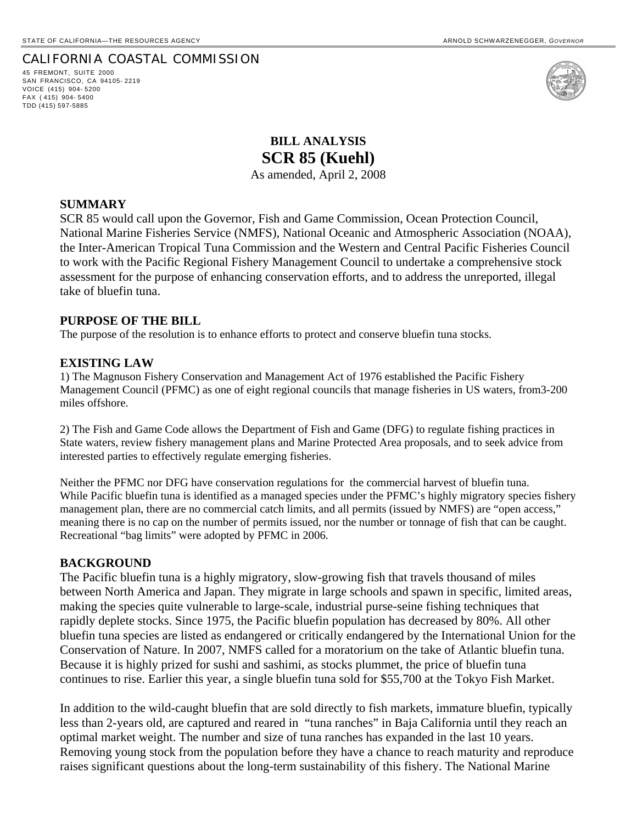### CALIFORNIA COASTAL COMMISSION

45 FREMONT, SUITE 2000 SAN FRANCISCO, CA 94105- 2219 VOICE (415) 904- 5200 FAX ( 415) 904- 5400 TDD (415) 597-5885



**BILL ANALYSIS SCR 85 (Kuehl)**  As amended, April 2, 2008

### **SUMMARY**

SCR 85 would call upon the Governor, Fish and Game Commission, Ocean Protection Council, National Marine Fisheries Service (NMFS), National Oceanic and Atmospheric Association (NOAA), the Inter-American Tropical Tuna Commission and the Western and Central Pacific Fisheries Council to work with the Pacific Regional Fishery Management Council to undertake a comprehensive stock assessment for the purpose of enhancing conservation efforts, and to address the unreported, illegal take of bluefin tuna.

## **PURPOSE OF THE BILL**

The purpose of the resolution is to enhance efforts to protect and conserve bluefin tuna stocks.

#### **EXISTING LAW**

1) The Magnuson Fishery Conservation and Management Act of 1976 established the Pacific Fishery Management Council (PFMC) as one of eight regional councils that manage fisheries in US waters, from3-200 miles offshore.

2) The Fish and Game Code allows the Department of Fish and Game (DFG) to regulate fishing practices in State waters, review fishery management plans and Marine Protected Area proposals, and to seek advice from interested parties to effectively regulate emerging fisheries.

Neither the PFMC nor DFG have conservation regulations for the commercial harvest of bluefin tuna. While Pacific bluefin tuna is identified as a managed species under the PFMC's highly migratory species fishery management plan, there are no commercial catch limits, and all permits (issued by NMFS) are "open access," meaning there is no cap on the number of permits issued, nor the number or tonnage of fish that can be caught. Recreational "bag limits" were adopted by PFMC in 2006.

#### **BACKGROUND**

The Pacific bluefin tuna is a highly migratory, slow-growing fish that travels thousand of miles between North America and Japan. They migrate in large schools and spawn in specific, limited areas, making the species quite vulnerable to large-scale, industrial purse-seine fishing techniques that rapidly deplete stocks. Since 1975, the Pacific bluefin population has decreased by 80%. All other bluefin tuna species are listed as endangered or critically endangered by the International Union for the Conservation of Nature. In 2007, NMFS called for a moratorium on the take of Atlantic bluefin tuna. Because it is highly prized for sushi and sashimi, as stocks plummet, the price of bluefin tuna continues to rise. Earlier this year, a single bluefin tuna sold for \$55,700 at the Tokyo Fish Market.

In addition to the wild-caught bluefin that are sold directly to fish markets, immature bluefin, typically less than 2-years old, are captured and reared in "tuna ranches" in Baja California until they reach an optimal market weight. The number and size of tuna ranches has expanded in the last 10 years. Removing young stock from the population before they have a chance to reach maturity and reproduce raises significant questions about the long-term sustainability of this fishery. The National Marine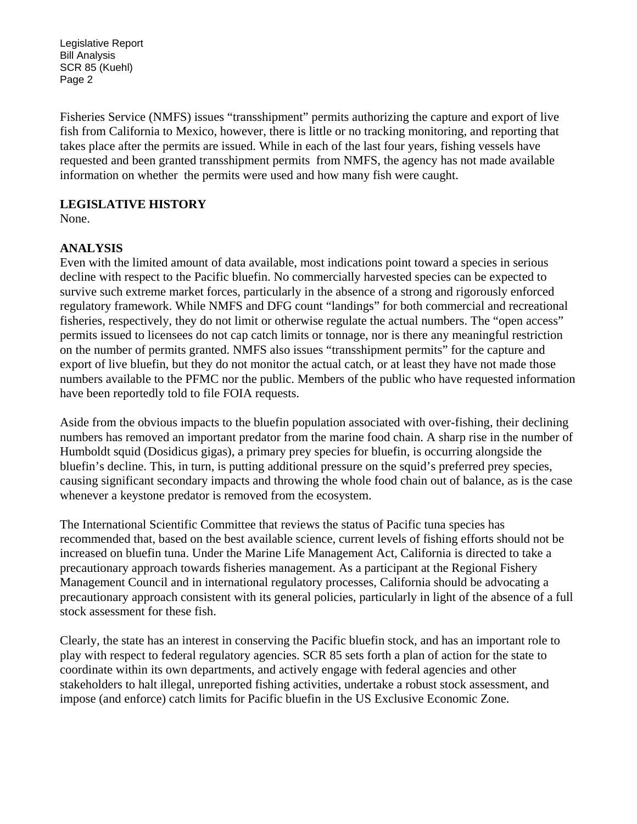Legislative Report Bill Analysis SCR 85 (Kuehl) Page 2

Fisheries Service (NMFS) issues "transshipment" permits authorizing the capture and export of live fish from California to Mexico, however, there is little or no tracking monitoring, and reporting that takes place after the permits are issued. While in each of the last four years, fishing vessels have requested and been granted transshipment permits from NMFS, the agency has not made available information on whether the permits were used and how many fish were caught.

# **LEGISLATIVE HISTORY**

None.

# **ANALYSIS**

Even with the limited amount of data available, most indications point toward a species in serious decline with respect to the Pacific bluefin. No commercially harvested species can be expected to survive such extreme market forces, particularly in the absence of a strong and rigorously enforced regulatory framework. While NMFS and DFG count "landings" for both commercial and recreational fisheries, respectively, they do not limit or otherwise regulate the actual numbers. The "open access" permits issued to licensees do not cap catch limits or tonnage, nor is there any meaningful restriction on the number of permits granted. NMFS also issues "transshipment permits" for the capture and export of live bluefin, but they do not monitor the actual catch, or at least they have not made those numbers available to the PFMC nor the public. Members of the public who have requested information have been reportedly told to file FOIA requests.

Aside from the obvious impacts to the bluefin population associated with over-fishing, their declining numbers has removed an important predator from the marine food chain. A sharp rise in the number of Humboldt squid (Dosidicus gigas), a primary prey species for bluefin, is occurring alongside the bluefin's decline. This, in turn, is putting additional pressure on the squid's preferred prey species, causing significant secondary impacts and throwing the whole food chain out of balance, as is the case whenever a keystone predator is removed from the ecosystem.

The International Scientific Committee that reviews the status of Pacific tuna species has recommended that, based on the best available science, current levels of fishing efforts should not be increased on bluefin tuna. Under the Marine Life Management Act, California is directed to take a precautionary approach towards fisheries management. As a participant at the Regional Fishery Management Council and in international regulatory processes, California should be advocating a precautionary approach consistent with its general policies, particularly in light of the absence of a full stock assessment for these fish.

Clearly, the state has an interest in conserving the Pacific bluefin stock, and has an important role to play with respect to federal regulatory agencies. SCR 85 sets forth a plan of action for the state to coordinate within its own departments, and actively engage with federal agencies and other stakeholders to halt illegal, unreported fishing activities, undertake a robust stock assessment, and impose (and enforce) catch limits for Pacific bluefin in the US Exclusive Economic Zone.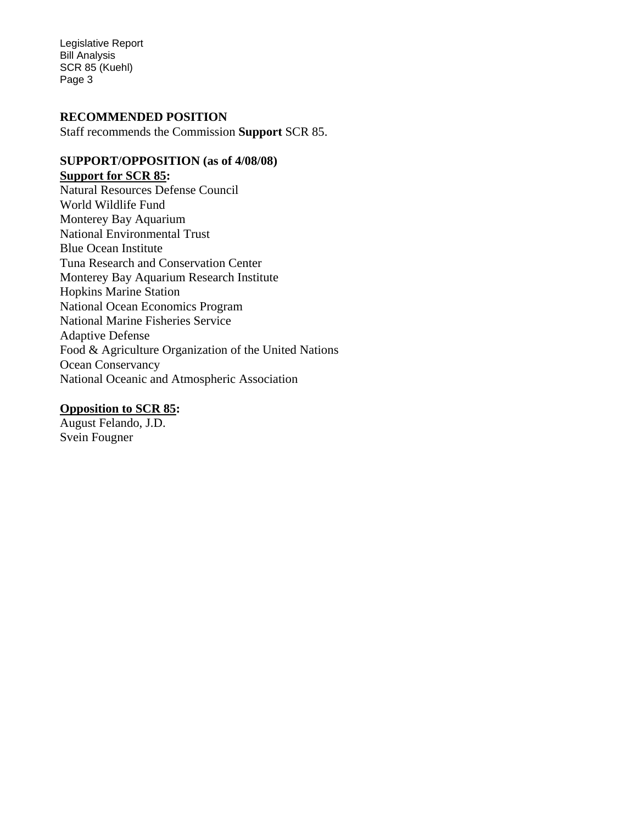Legislative Report Bill Analysis SCR 85 (Kuehl) Page 3

# **RECOMMENDED POSITION**

Staff recommends the Commission **Support** SCR 85.

# **SUPPORT/OPPOSITION (as of 4/08/08) Support for SCR 85:**

Natural Resources Defense Council World Wildlife Fund Monterey Bay Aquarium National Environmental Trust Blue Ocean Institute Tuna Research and Conservation Center Monterey Bay Aquarium Research Institute Hopkins Marine Station National Ocean Economics Program National Marine Fisheries Service Adaptive Defense Food & Agriculture Organization of the United Nations Ocean Conservancy National Oceanic and Atmospheric Association

# **Opposition to SCR 85:**

August Felando, J.D. Svein Fougner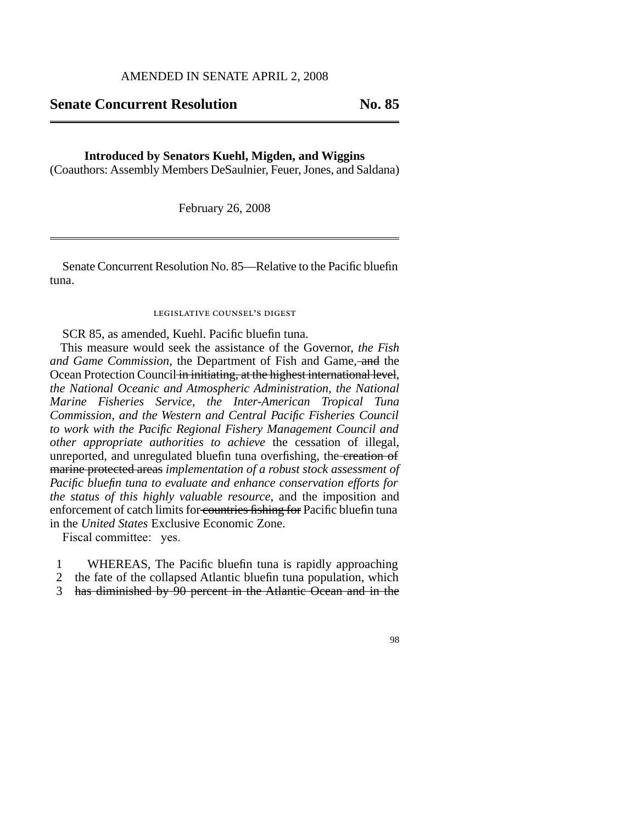#### AMENDED IN SENATE APRIL 2, 2008

# **Senate Concurrent Resolution No. 85**

#### **Introduced by Senators Kuehl, Migden, and Wiggins**

(Coauthors: Assembly Members DeSaulnier, Feuer,Jones, and Saldana)

February 26, 2008

Senate Concurrent Resolution No. 85—Relative to the Pacific bluefin tuna.

# legislative counsel' s digest

SCR 85, as amended, Kuehl. Pacific bluefin tuna.

This measure would seek the assistance of the Governor, *the Fish and Game Commission,* the Department of Fish and Game, and the Ocean Protection Council in initiating, at the highest international level, *the National Oceanic and Atmospheric Administration, the National Marine Fisheries Service, the Inter-American Tropical Tuna Commission, and the Western and Central Pacific Fisheries Council to work with the Pacific Regional Fishery Management Council and other appropriate authorities to achieve* the cessation of illegal, unreported, and unregulated bluefin tuna overfishing, the creation of marine protected areas *implementation of a robust stock assessment of Pacific bluefin tuna to evaluate and enhance conservation efforts for the status of this highly valuable resource*, and the imposition and enforcement of catch limits for countries fishing for Pacific bluefin tuna in the *United States* Exclusive Economic Zone.

Fiscal committee: yes.

- 1 WHEREAS, The Pacific bluefin tuna is rapidly approaching
- $\mathcal{L}$ the fate of the collapsed Atlantic bluefin tuna population, which
- 3 has diminished by 90 percent in the Atlantic Ocean and in the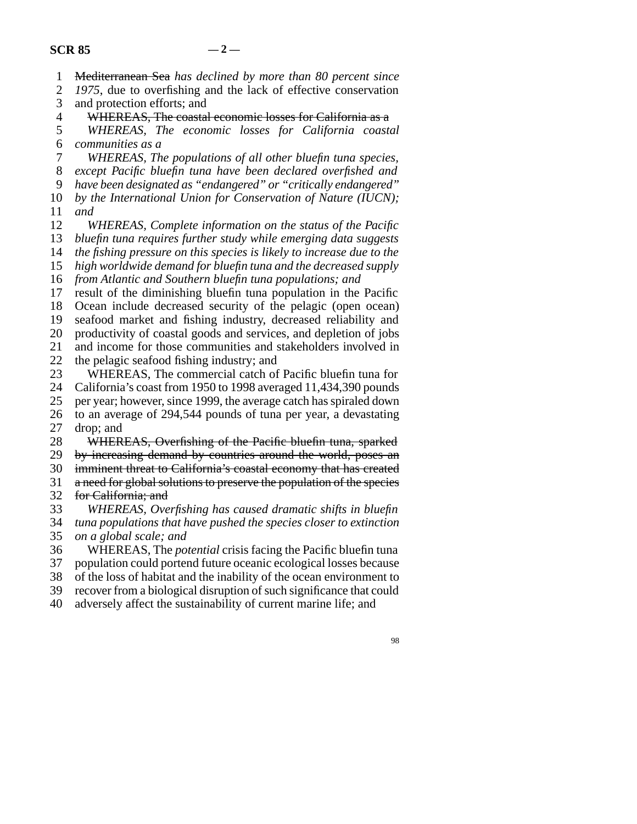1 Mediterranean Sea *has declined by more than 80 percent since*

2 3 *1975*, due to overfishing and the lack of effective conservation and protection efforts; and

4 WHEREAS, The coastal economic losses for California as a

5 6 *WHEREAS, The economic losses for California coastal communities as a*

7 *WHEREAS, The populations of all other bluefin tuna species,*

8 *except Pacific bluefin tuna have been declared overfished and*

9 *have been designated as "endangered" or "critically endangered"*

10 11 *by the International Union for Conservation of Nature (IUCN); and*

12 13 *WHEREAS, Complete information on the status of the Pacific bluefin tuna requires further study while emerging data suggests*

14 *the fishing pressure on this species is likely to increase due to the*

15 *high worldwide demand for bluefin tuna and the decreased supply*

16 *from Atlantic and Southern bluefin tuna populations; and* 

17 result of the diminishing bluefin tuna population in the Pacific

18 Ocean include decreased security of the pelagic (open ocean)

19 seafood market and fishing industry, decreased reliability and

20 productivity of coastal goods and services, and depletion of jobs

21 22 and income for those communities and stakeholders involved in the pelagic seafood fishing industry; and

23 WHEREAS, The commercial catch of Pacific bluefin tuna for

24 California's coast from 1950 to 1998 averaged 11,434,390 pounds

25 per year; however, since 1999, the average catch has spiraled down

26 to an average of 294,544 pounds of tuna per year, a devastating

27 drop; and

28 WHEREAS, Overfishing of the Pacific bluefin tuna, sparked

29 by increasing demand by countries around the world, poses an

30 imminent threat to California's coastal economy that has created

31 a need for global solutions to preserve the population of the species

32 for California; and

33 *WHEREAS, Overfishing has caused dramatic shifts in bluefin*

34 35 *tuna populations that have pushed the species closer to extinction on a global scale; and*

36 37 WHEREAS, The *potential* crisis facing the Pacific bluefin tuna population could portend future oceanic ecological losses because

38 of the loss of habitat and the inability of the ocean environment to

39 recover from a biological disruption of such significance that could

40 adversely affect the sustainability of current marine life; and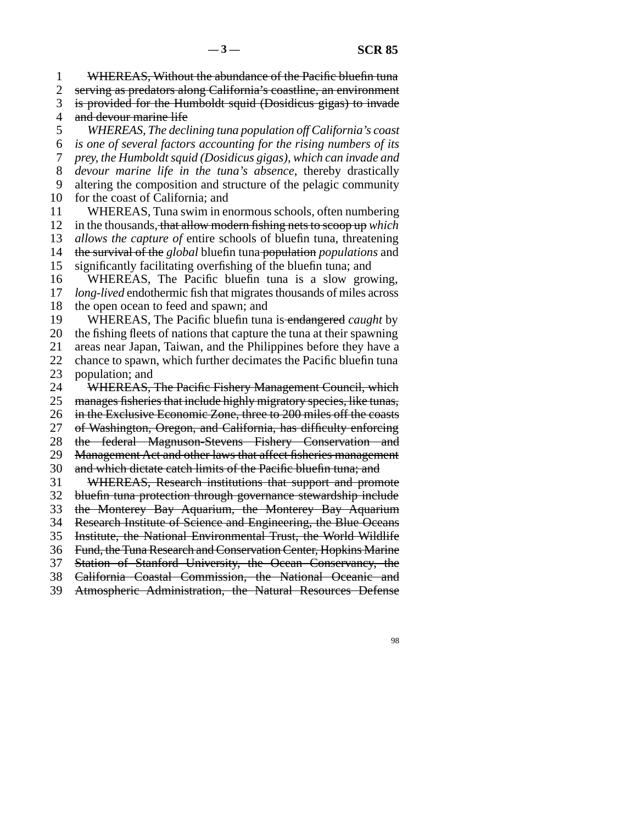1 2 WHEREAS, Without the abundance of the Pacific bluefin tuna

3 serving as predators along California's coastline, an environment is provided for the Humboldt squid (Dosidicus gigas) to invade

4 and devour marine life

5 6 7 8 9 10 *WHEREAS, The declining tuna population off California's coast is one of several factors accounting for the rising numbers of its prey, the Humboldt squid (Dosidicus gigas), which can invade and devour marine life in the tuna's absence*, thereby drastically altering the composition and structure of the pelagic community for the coast of California; and

11 WHEREAS, Tuna swim in enormous schools, often numbering

12 in the thousands, that allow modern fishing nets to scoop up *which*

13 *allows the capture of* entire schools of bluefin tuna, threatening

14 the survival of the *global* bluefin tuna population *populations* and

15 significantly facilitating overfishing of the bluefin tuna; and

16 17 WHEREAS, The Pacific bluefin tuna is a slow growing, *long-lived* endothermic fish that migrates thousands of miles across

18 the open ocean to feed and spawn; and

19 WHEREAS, The Pacific bluefin tuna is endangered *caught* by

20 21 the fishing fleets of nations that capture the tuna at their spawning

22 areas near Japan, Taiwan, and the Philippines before they have a chance to spawn, which further decimates the Pacific bluefin tuna

23 population; and

24 WHEREAS, The Pacific Fishery Management Council, which

25 manages fisheries that include highly migratory species, like tunas,

26 in the Exclusive Economic Zone, three to 200 miles off the coasts

27 of Washington, Oregon, and California, has difficulty enforcing

28 the federal Magnuson-Stevens Fishery Conservation and

29 Management Act and other laws that affect fisheries management

30 and which dictate catch limits of the Pacific bluefin tuna; and

31 WHEREAS, Research institutions that support and promote

32 bluefin tuna protection through governance stewardship include

33 the Monterey Bay Aquarium, the Monterey Bay Aquarium

34 Research Institute of Science and Engineering, the Blue Oceans

35 Institute, the National Environmental Trust, the World Wildlife

36 Fund, the Tuna Research and Conservation Center, Hopkins Marine

37 Station of Stanford University, the Ocean Conservancy, the

38 California Coastal Commission, the National Oceanic and

39 Atmospheric Administration, the Natural Resources Defense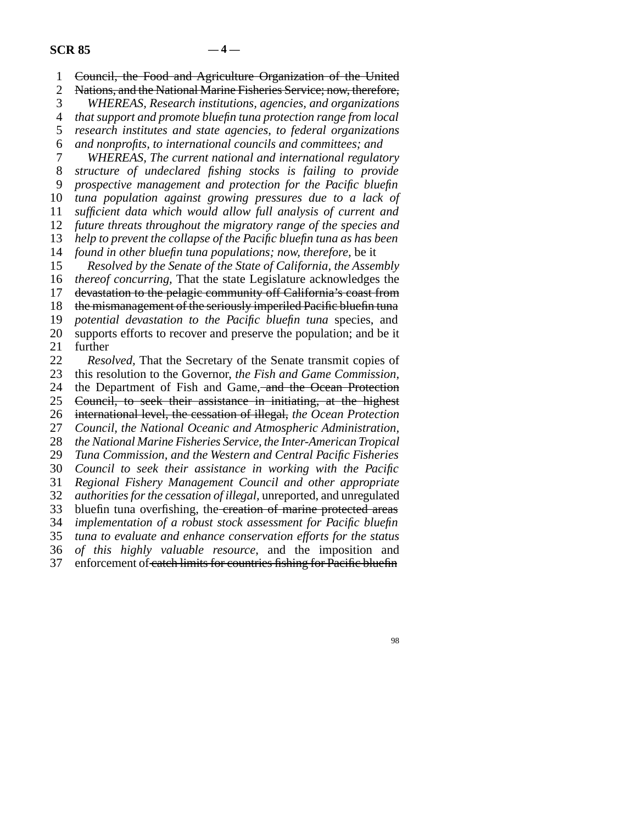1 2 3 4 5 6 7 8 9 10 11 12 13 14 15 16 17 18 19 20 21 22 23 24 25 26 27 28 29 30 31 32 33 34 35 36 37 Council, the Food and Agriculture Organization of the United Nations, and the National Marine Fisheries Service; now, therefore, *WHEREAS, Research institutions, agencies, and organizations that support and promote bluefin tuna protection range from local research institutes and state agencies, to federal organizations and nonprofits, to international councils and committees; and WHEREAS, The current national and international regulatory structure of undeclared fishing stocks is failing to provide prospective management and protection for the Pacific bluefin tuna population against growing pressures due to a lack of sufficient data which would allow full analysis of current and future threats throughout the migratory range of the species and help to prevent the collapse of the Pacific bluefin tuna as has been found in other bluefin tuna populations; now, therefore,* be it *Resolved by the Senate of the State of California, the Assembly thereof concurring,* That the state Legislature acknowledges the devastation to the pelagic community off California's coast from the mismanagement of the seriously imperiled Pacific bluefin tuna *potential devastation to the Pacific bluefin tuna* species, and supports efforts to recover and preserve the population; and be it further *Resolved,* That the Secretary of the Senate transmit copies of this resolution to the Governor, *the Fish and Game Commission,* the Department of Fish and Game, and the Ocean Protection Council, to seek their assistance in initiating, at the highest international level, the cessation of illegal, *the Ocean Protection Council, the National Oceanic and Atmospheric Administration, the National Marine Fisheries Service, the Inter-American Tropical Tuna Commission, and the Western and Central Pacific Fisheries Council to seek their assistance in working with the Pacific Regional Fishery Management Council and other appropriate authorities for the cessation of illegal,* unreported, and unregulated bluefin tuna overfishing, the creation of marine protected areas *implementation of a robust stock assessment for Pacific bluefin tuna to evaluate and enhance conservation efforts for the status of this highly valuable resource*, and the imposition and enforcement of catch limits for countries fishing for Pacific bluefin